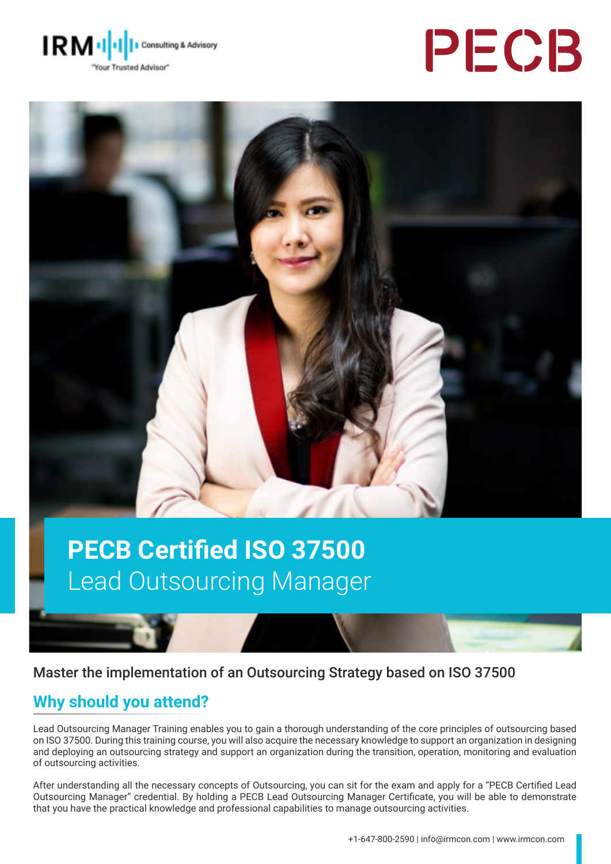





### **PECB Certified ISO 37500** Lead Outsourcing Manager

#### Master the implementation of an Outsourcing Strategy based on ISO 37500

### **Why should you attend?**

Lead Outsourcing Manager Training enables you to gain a thorough understanding of the core principles of outsourcing based on ISO 37500. During this training course, you will also acquire the necessary knowledge to support an organization in designing and deploying an outsourcing strategy and support an organization during the transition, operation, monitoring and evaluation of outsourcing activities.

After understanding all the necessary concepts of Outsourcing, you can sit for the exam and apply for a "PECB Certified Lead Outsourcing Manager" credential. By holding a PECB Lead Outsourcing Manager Certificate, you will be able to demonstrate that you have the practical knowledge and professional capabilities to manage outsourcing activities.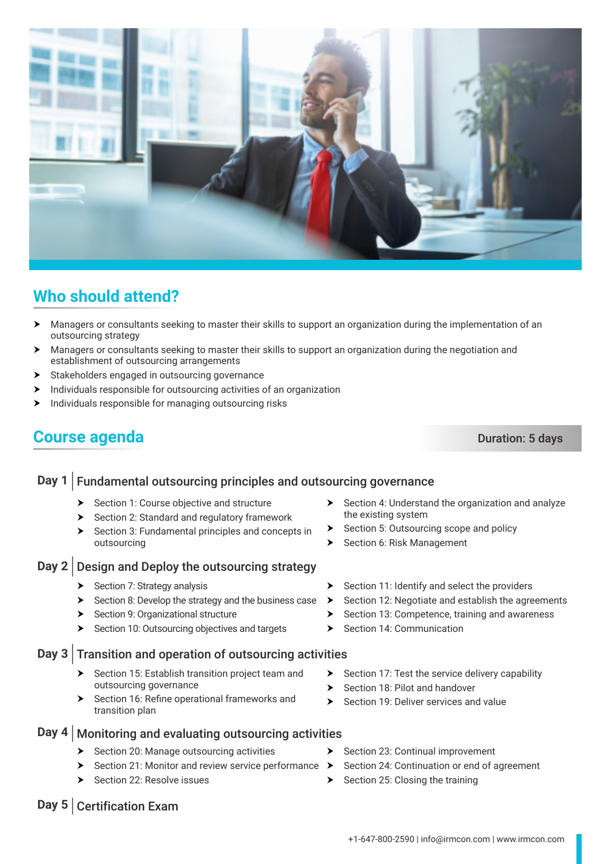

## $\triangleright$  Section 11: Identify and select the providers

- $\triangleright$  Section 12: Negotiate and establish the agreements
- $\triangleright$  Section 13: Competence, training and awareness
- $\triangleright$  Section 14: Communication
- $\triangleright$  Section 17: Test the service delivery capability

Section 24: Continuation or end of agreement

- $\blacktriangleright$  Section 18: Pilot and handover
- $\triangleright$  Section 19: Deliver services and value
- 
- Day 4 | Monitoring and evaluating outsourcing activities
	- $\blacktriangleright$  Section 20: Manage outsourcing activities
		- Section 21: Monitor and review service performance  $\rightarrow$
		- Section 22: Resolve issues
- **Day 5** | Certification Exam
- 
- $\triangleright$  Section 4: Understand the organization and analyze the existing system
- $\triangleright$  Section 5: Outsourcing scope and policy
- > Section 6: Risk Management

outsourcing strategy

### **Day 1** Fundamental outsourcing principles and outsourcing governance

- $\triangleright$  Section 1: Course objective and structure
- **Fig. 3** Section 2: Standard and regulatory framework
- $\blacktriangleright$  Section 3: Fundamental principles and concepts in outsourcing

### **Day 2** Design and Deploy the outsourcing strategy

 $\triangleright$  Section 7: Strategy analysis

establishment of outsourcing arrangements  $\blacktriangleright$  Stakeholders engaged in outsourcing governance

 $\blacktriangleright$  Individuals responsible for managing outsourcing risks

- $\blacktriangleright$  Section 8: Develop the strategy and the business case
- **EXECT:** Section 9: Organizational structure
- **EXECT:** Section 10: Outsourcing objectives and targets

### **Day 3** Transition and operation of outsourcing activities

- Section 15: Establish transition project team and outsourcing governance
- **EXECT:** Section 16: Refine operational frameworks and transition plan

# **Course agenda** Duration: 5 days

 $\blacktriangleright$  Individuals responsible for outsourcing activities of an organization



**h** Managers or consultants seeking to master their skills to support an organization during the implementation of an

h Managers or consultants seeking to master their skills to support an organization during the negotiation and

Section 25: Closing the training

 $\triangleright$  Section 23: Continual improvement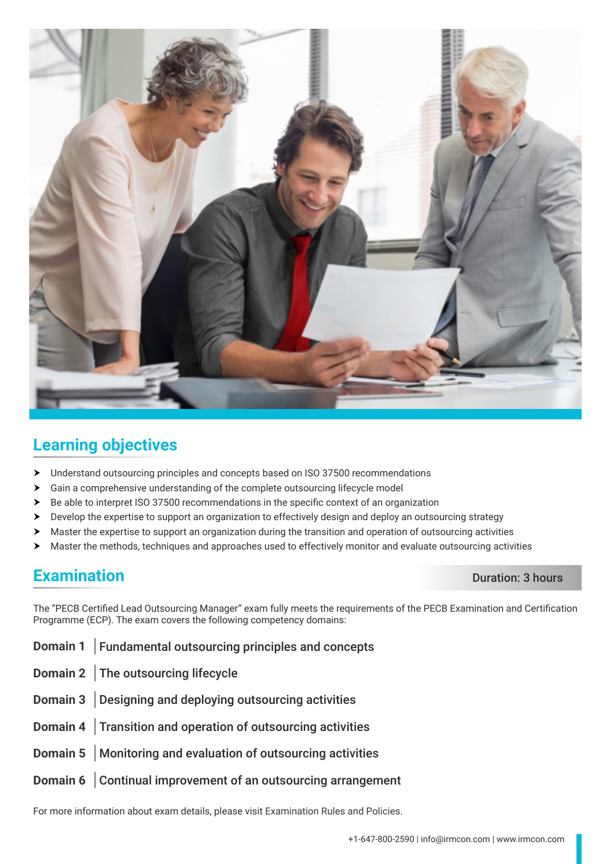

### **Learning objectives**

- > Understand outsourcing principles and concepts based on ISO 37500 recommendations
- h Gain a comprehensive understanding of the complete outsourcing lifecycle model
- $\triangleright$  Be able to interpret ISO 37500 recommendations in the specific context of an organization
- $\triangleright$  Develop the expertise to support an organization to effectively design and deploy an outsourcing strategy
- $\blacktriangleright$  Master the expertise to support an organization during the transition and operation of outsourcing activities
- $\blacktriangleright$  Master the methods, techniques and approaches used to effectively monitor and evaluate outsourcing activities

### **Examination** Duration: 3 hours

The "PECB Certified Lead Outsourcing Manager" exam fully meets the requirements of the PECB Examination and Certification Programme (ECP). The exam covers the following competency domains:

- **Domain 1** Fundamental outsourcing principles and concepts
- **Domain 2** The outsourcing lifecycle
- **Domain 3** Designing and deploying outsourcing activities
- **Domain 4** Transition and operation of outsourcing activities
- **Domain 5** Monitoring and evaluation of outsourcing activities
- **Domain 6** Continual improvement of an outsourcing arrangement

For more information about exam details, please visit [Examination Rules and Policies](https://pecb.com/en/examination-rules-and-policies).